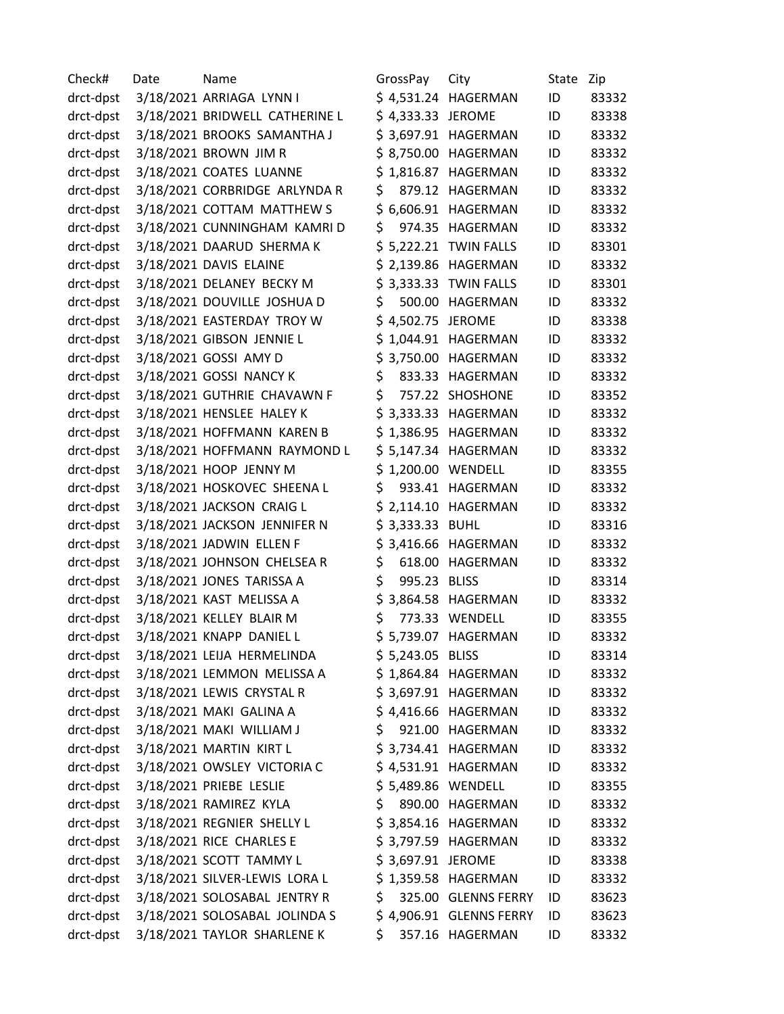Check# Date Mame Mame GrossPay City State Zip drct-dpst 3/18/2021 ARRIAGA LYNN I \$ 4,531.24 HAGERMAN ID 83332 drct-dpst 3/18/2021 BRIDWELL CATHERINE L \$ 4,333.33 JEROME ID 83338 drct-dpst 3/18/2021 BROOKS SAMANTHA J \$ 3,697.91 HAGERMAN ID 83332 drct-dpst 3/18/2021 BROWN JIM R \$ 8,750.00 HAGERMAN ID 83332 drct-dpst 3/18/2021 COATES LUANNE \$ 1,816.87 HAGERMAN ID 83332 drct-dpst 3/18/2021 CORBRIDGE ARLYNDA R \$ 879.12 HAGERMAN ID 83332 drct-dpst 3/18/2021 COTTAM MATTHEW S \$6,606.91 HAGERMAN ID 83332 drct-dpst 3/18/2021 CUNNINGHAM KAMRI D \$ 974.35 HAGERMAN ID 83332 drct-dpst 3/18/2021 DAARUD SHERMA K \$ 5,222.21 TWIN FALLS ID 83301 drct-dpst 3/18/2021 DAVIS ELAINE \$ 2,139.86 HAGERMAN ID 83332 drct-dpst 3/18/2021 DELANEY BECKY M \$ 3,333.33 TWIN FALLS ID 83301 drct-dpst 3/18/2021 DOUVILLE JOSHUA D \$ 500.00 HAGERMAN ID 83332 drct-dpst 3/18/2021 EASTERDAY TROY W \$ 4,502.75 JEROME ID 83338 drct-dpst 3/18/2021 GIBSON JENNIE L \$ 1,044.91 HAGERMAN ID 83332 drct-dpst 3/18/2021 GOSSI AMY D \$ 3,750.00 HAGERMAN ID 83332 drct-dpst 3/18/2021 GOSSI NANCY K  $\begin{array}{cccc} \text{S} & 833.33 & \text{HAGERMAN} & \text{ID} & 83332 \end{array}$ drct-dpst 3/18/2021 GUTHRIE CHAVAWN F \$ 757.22 SHOSHONE ID 83352 drct-dpst 3/18/2021 HENSLEE HALEY K \$ 3,333.33 HAGERMAN ID 83332 drct-dpst 3/18/2021 HOFFMANN KAREN B \$ 1,386.95 HAGERMAN ID 83332 drct-dpst 3/18/2021 HOFFMANN RAYMOND L \$ 5,147.34 HAGERMAN ID 83332 drct-dpst 3/18/2021 HOOP JENNY M \$ 1,200.00 WENDELL ID 83355 drct-dpst 3/18/2021 HOSKOVEC SHEENA L \$ 933.41 HAGERMAN ID 83332 drct-dpst 3/18/2021 JACKSON CRAIG L \$ 2,114.10 HAGERMAN ID 83332 drct-dpst 3/18/2021 JACKSON JENNIFER N \$ 3,333.33 BUHL ID 83316 drct-dpst 3/18/2021 JADWIN ELLEN F \$ 3,416.66 HAGERMAN ID 83332 drct-dpst 3/18/2021 JOHNSON CHELSEA R \$ 618.00 HAGERMAN ID 83332 drct-dpst 3/18/2021 JONES TARISSA A  $\frac{1}{5}$  995.23 BLISS ID 83314 drct-dpst 3/18/2021 KAST MELISSA A  $\sim$  \$ 3,864.58 HAGERMAN ID 83332 drct-dpst 3/18/2021 KELLEY BLAIR M  $$ 773.33$  WENDELL ID 83355 drct-dpst 3/18/2021 KNAPP DANIEL L \$ 5,739.07 HAGERMAN ID 83332 drct-dpst 3/18/2021 LEIJA HERMELINDA \$ 5,243.05 BLISS ID 83314 drct-dpst 3/18/2021 LEMMON MELISSA A \$ 1,864.84 HAGERMAN ID 83332 drct-dpst 3/18/2021 LEWIS CRYSTAL R \$ 3,697.91 HAGERMAN ID 83332 drct-dpst 3/18/2021 MAKI GALINA A \$ 4,416.66 HAGERMAN ID 83332 drct-dpst 3/18/2021 MAKI WILLIAM J \$ 921.00 HAGERMAN ID 83332 drct-dpst 3/18/2021 MARTIN KIRT L \$ 3,734.41 HAGERMAN ID 83332 drct-dpst 3/18/2021 OWSLEY VICTORIA C  $\begin{array}{r} \xi$  4,531.91 HAGERMAN ID 83332 drct-dpst 3/18/2021 PRIEBE LESLIE \$ 5,489.86 WENDELL ID 83355 drct-dpst 3/18/2021 RAMIREZ KYLA \$ 890.00 HAGERMAN ID 83332 drct-dpst 3/18/2021 REGNIER SHELLY L \$ 3,854.16 HAGERMAN ID 83332 drct-dpst 3/18/2021 RICE CHARLES E \$ 3,797.59 HAGERMAN ID 83332 drct-dpst 3/18/2021 SCOTT TAMMY L \$ 3,697.91 JEROME ID 83338 drct-dpst 3/18/2021 SILVER-LEWIS LORA L \$ 1,359.58 HAGERMAN ID 83332 drct-dpst 3/18/2021 SOLOSABAL JENTRY R \$ 325.00 GLENNS FERRY ID 83623 drct-dpst 3/18/2021 SOLOSABAL JOLINDA S \$ 4,906.91 GLENNS FERRY ID 83623 drct-dpst 3/18/2021 TAYLOR SHARLENE K \$ 357.16 HAGERMAN ID 83332